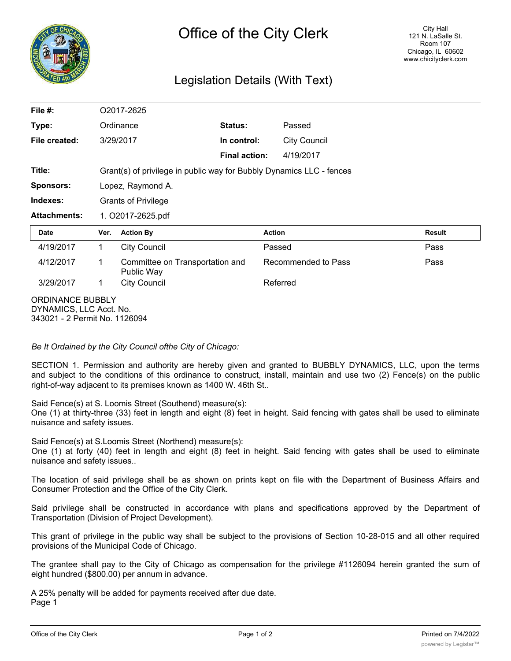

## Legislation Details (With Text)

| File #:                                     | O2017-2625                                                           |                                               |                      |                     |               |
|---------------------------------------------|----------------------------------------------------------------------|-----------------------------------------------|----------------------|---------------------|---------------|
| Type:                                       |                                                                      | Ordinance                                     | Status:              | Passed              |               |
| File created:                               |                                                                      | 3/29/2017                                     | In control:          | <b>City Council</b> |               |
|                                             |                                                                      |                                               | <b>Final action:</b> | 4/19/2017           |               |
| Title:                                      | Grant(s) of privilege in public way for Bubbly Dynamics LLC - fences |                                               |                      |                     |               |
| <b>Sponsors:</b>                            | Lopez, Raymond A.                                                    |                                               |                      |                     |               |
| Indexes:                                    | <b>Grants of Privilege</b>                                           |                                               |                      |                     |               |
| <b>Attachments:</b>                         | 1. O2017-2625.pdf                                                    |                                               |                      |                     |               |
| Date                                        | Ver.                                                                 | <b>Action By</b>                              |                      | <b>Action</b>       | <b>Result</b> |
| 4/19/2017                                   | 1                                                                    | <b>City Council</b>                           |                      | Passed              | Pass          |
| 4/12/2017                                   | 1                                                                    | Committee on Transportation and<br>Public Way |                      | Recommended to Pass | Pass          |
| 3/29/2017                                   | 1                                                                    | <b>City Council</b>                           |                      | Referred            |               |
| ORDINANCE BUBBLY<br>DYNAMICS, LLC Acct. No. |                                                                      |                                               |                      |                     |               |

*Be It Ordained by the City Council ofthe City of Chicago:*

343021 - 2 Permit No. 1126094

SECTION 1. Permission and authority are hereby given and granted to BUBBLY DYNAMICS, LLC, upon the terms and subject to the conditions of this ordinance to construct, install, maintain and use two (2) Fence(s) on the public right-of-way adjacent to its premises known as 1400 W. 46th St..

Said Fence(s) at S. Loomis Street (Southend) measure(s):

One (1) at thirty-three (33) feet in length and eight (8) feet in height. Said fencing with gates shall be used to eliminate nuisance and safety issues.

Said Fence(s) at S.Loomis Street (Northend) measure(s):

One (1) at forty (40) feet in length and eight (8) feet in height. Said fencing with gates shall be used to eliminate nuisance and safety issues..

The location of said privilege shall be as shown on prints kept on file with the Department of Business Affairs and Consumer Protection and the Office of the City Clerk.

Said privilege shall be constructed in accordance with plans and specifications approved by the Department of Transportation (Division of Project Development).

This grant of privilege in the public way shall be subject to the provisions of Section 10-28-015 and all other required provisions of the Municipal Code of Chicago.

The grantee shall pay to the City of Chicago as compensation for the privilege #1126094 herein granted the sum of eight hundred (\$800.00) per annum in advance.

A 25% penalty will be added for payments received after due date. Page 1